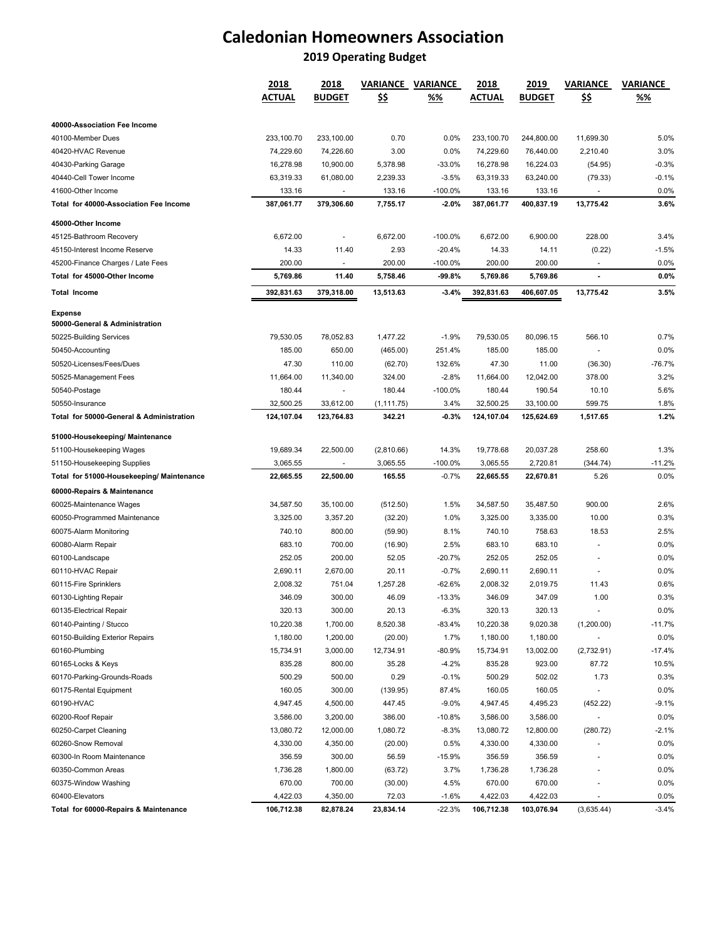# **Caledonian Homeowners Association**

## **2019 Operating Budget**

|                                                  | 2018          | 2018                     | VARIANCE    | <b>VARIANCE</b> | 2018          | 2019          | VARIANCE       | <b>VARIANCE</b> |  |
|--------------------------------------------------|---------------|--------------------------|-------------|-----------------|---------------|---------------|----------------|-----------------|--|
|                                                  | <b>ACTUAL</b> | <b>BUDGET</b>            | <u>\$\$</u> | %%              | <b>ACTUAL</b> | <b>BUDGET</b> | <u>\$\$</u>    | %%              |  |
| 40000-Association Fee Income                     |               |                          |             |                 |               |               |                |                 |  |
| 40100-Member Dues                                | 233,100.70    | 233,100.00               | 0.70        | 0.0%            | 233,100.70    | 244,800.00    | 11,699.30      | 5.0%            |  |
| 40420-HVAC Revenue                               | 74,229.60     | 74,226.60                | 3.00        | 0.0%            | 74,229.60     | 76,440.00     | 2,210.40       | 3.0%            |  |
| 40430-Parking Garage                             | 16,278.98     | 10,900.00                | 5,378.98    | -33.0%          | 16,278.98     | 16,224.03     | (54.95)        | -0.3%           |  |
| 40440-Cell Tower Income                          | 63,319.33     | 61,080.00                | 2,239.33    | $-3.5%$         | 63,319.33     | 63,240.00     | (79.33)        | $-0.1%$         |  |
| 41600-Other Income                               | 133.16        | $\overline{\phantom{a}}$ | 133.16      | -100.0%         | 133.16        | 133.16        |                | 0.0%            |  |
| Total for 40000-Association Fee Income           | 387,061.77    | 379,306.60               | 7,755.17    | $-2.0%$         | 387,061.77    | 400,837.19    | 13,775.42      | 3.6%            |  |
| 45000-Other Income                               |               |                          |             |                 |               |               |                |                 |  |
| 45125-Bathroom Recovery                          | 6,672.00      | $\overline{a}$           | 6,672.00    | $-100.0%$       | 6,672.00      | 6,900.00      | 228.00         | 3.4%            |  |
| 45150-Interest Income Reserve                    | 14.33         | 11.40                    | 2.93        | $-20.4%$        | 14.33         | 14.11         | (0.22)         | $-1.5%$         |  |
| 45200-Finance Charges / Late Fees                | 200.00        |                          | 200.00      | -100.0%         | 200.00        | 200.00        |                | 0.0%            |  |
| Total for 45000-Other Income                     | 5,769.86      | 11.40                    | 5,758.46    | -99.8%          | 5,769.86      | 5,769.86      | $\overline{a}$ | $0.0\%$         |  |
| <b>Total Income</b>                              | 392,831.63    | 379,318.00               | 13,513.63   | $-3.4%$         | 392,831.63    | 406,607.05    | 13,775.42      | 3.5%            |  |
|                                                  |               |                          |             |                 |               |               |                |                 |  |
| <b>Expense</b><br>50000-General & Administration |               |                          |             |                 |               |               |                |                 |  |
| 50225-Building Services                          | 79,530.05     | 78,052.83                | 1,477.22    | $-1.9%$         | 79,530.05     | 80,096.15     | 566.10         | 0.7%            |  |
| 50450-Accounting                                 | 185.00        | 650.00                   | (465.00)    | 251.4%          | 185.00        | 185.00        | ä,             | 0.0%            |  |
| 50520-Licenses/Fees/Dues                         | 47.30         | 110.00                   | (62.70)     | 132.6%          | 47.30         | 11.00         | (36.30)        | -76.7%          |  |
| 50525-Management Fees                            | 11,664.00     | 11,340.00                | 324.00      | -2.8%           | 11,664.00     | 12,042.00     | 378.00         | 3.2%            |  |
| 50540-Postage                                    | 180.44        | $\blacksquare$           | 180.44      | $-100.0%$       | 180.44        | 190.54        | 10.10          | 5.6%            |  |
| 50550-Insurance                                  | 32,500.25     | 33,612.00                | (1, 111.75) | 3.4%            | 32,500.25     | 33,100.00     | 599.75         | 1.8%            |  |
| Total for 50000-General & Administration         | 124,107.04    | 123,764.83               | 342.21      | $-0.3%$         | 124,107.04    | 125,624.69    | 1,517.65       | 1.2%            |  |
| 51000-Housekeeping/ Maintenance                  |               |                          |             |                 |               |               |                |                 |  |
| 51100-Housekeeping Wages                         | 19,689.34     | 22,500.00                | (2,810.66)  | 14.3%           | 19,778.68     | 20,037.28     | 258.60         | 1.3%            |  |
| 51150-Housekeeping Supplies                      | 3,065.55      |                          | 3,065.55    | $-100.0%$       | 3,065.55      | 2,720.81      | (344.74)       | -11.2%          |  |
| Total for 51000-Housekeeping/ Maintenance        | 22,665.55     | 22,500.00                | 165.55      | -0.7%           | 22,665.55     | 22,670.81     | 5.26           | 0.0%            |  |
| 60000-Repairs & Maintenance                      |               |                          |             |                 |               |               |                |                 |  |
| 60025-Maintenance Wages                          | 34,587.50     | 35,100.00                | (512.50)    | 1.5%            | 34,587.50     | 35,487.50     | 900.00         | 2.6%            |  |
| 60050-Programmed Maintenance                     | 3,325.00      | 3,357.20                 | (32.20)     | 1.0%            | 3,325.00      | 3,335.00      | 10.00          | 0.3%            |  |
| 60075-Alarm Monitoring                           | 740.10        | 800.00                   | (59.90)     | 8.1%            | 740.10        | 758.63        | 18.53          | 2.5%            |  |
| 60080-Alarm Repair                               | 683.10        | 700.00                   | (16.90)     | 2.5%            | 683.10        | 683.10        |                | 0.0%            |  |
| 60100-Landscape                                  | 252.05        | 200.00                   | 52.05       | $-20.7%$        | 252.05        | 252.05        |                | 0.0%            |  |
| 60110-HVAC Repair                                | 2,690.11      | 2,670.00                 | 20.11       | $-0.7%$         | 2,690.11      | 2,690.11      |                | 0.0%            |  |
| 60115-Fire Sprinklers                            | 2,008.32      | 751.04                   | 1,257.28    | $-62.6%$        | 2,008.32      | 2,019.75      | 11.43          | 0.6%            |  |
| 60130-Lighting Repair                            | 346.09        | 300.00                   | 46.09       | $-13.3%$        | 346.09        | 347.09        | 1.00           | 0.3%            |  |
| 60135-Electrical Repair                          | 320.13        | 300.00                   | 20.13       | -6.3%           | 320.13        | 320.13        |                | 0.0%            |  |
| 60140-Painting / Stucco                          | 10,220.38     | 1,700.00                 | 8,520.38    | -83.4%          | 10,220.38     | 9,020.38      | (1,200.00)     | -11.7%          |  |
| 60150-Building Exterior Repairs                  | 1,180.00      | 1,200.00                 | (20.00)     | 1.7%            | 1,180.00      | 1,180.00      |                | 0.0%            |  |
| 60160-Plumbing                                   | 15,734.91     | 3,000.00                 | 12,734.91   | $-80.9%$        | 15,734.91     | 13,002.00     | (2,732.91)     | -17.4%          |  |
| 60165-Locks & Keys                               | 835.28        | 800.00                   | 35.28       | $-4.2%$         | 835.28        | 923.00        | 87.72          | 10.5%           |  |
| 60170-Parking-Grounds-Roads                      | 500.29        | 500.00                   | 0.29        | $-0.1%$         | 500.29        | 502.02        | 1.73           | 0.3%            |  |
| 60175-Rental Equipment                           | 160.05        | 300.00                   | (139.95)    | 87.4%           | 160.05        | 160.05        |                | 0.0%            |  |
| 60190-HVAC                                       | 4,947.45      | 4,500.00                 | 447.45      | $-9.0%$         | 4,947.45      | 4,495.23      | (452.22)       | $-9.1%$         |  |
| 60200-Roof Repair                                | 3,586.00      | 3,200.00                 | 386.00      | -10.8%          | 3,586.00      | 3,586.00      |                | 0.0%            |  |
| 60250-Carpet Cleaning                            | 13,080.72     | 12,000.00                | 1,080.72    | $-8.3%$         | 13,080.72     | 12,800.00     | (280.72)       | $-2.1%$         |  |
| 60260-Snow Removal                               | 4,330.00      | 4,350.00                 | (20.00)     | 0.5%            | 4,330.00      | 4,330.00      |                | 0.0%            |  |
| 60300-In Room Maintenance                        | 356.59        | 300.00                   | 56.59       | $-15.9%$        | 356.59        | 356.59        |                | 0.0%            |  |
| 60350-Common Areas                               | 1,736.28      | 1,800.00                 | (63.72)     | 3.7%            | 1,736.28      | 1,736.28      |                | 0.0%            |  |
| 60375-Window Washing                             | 670.00        | 700.00                   | (30.00)     | 4.5%            | 670.00        | 670.00        |                | 0.0%            |  |
| 60400-Elevators                                  | 4,422.03      | 4,350.00                 | 72.03       | $-1.6%$         | 4,422.03      | 4,422.03      |                | 0.0%            |  |
| Total for 60000-Repairs & Maintenance            | 106,712.38    | 82,878.24                | 23,834.14   | $-22.3%$        | 106,712.38    | 103,076.94    | (3,635.44)     | $-3.4%$         |  |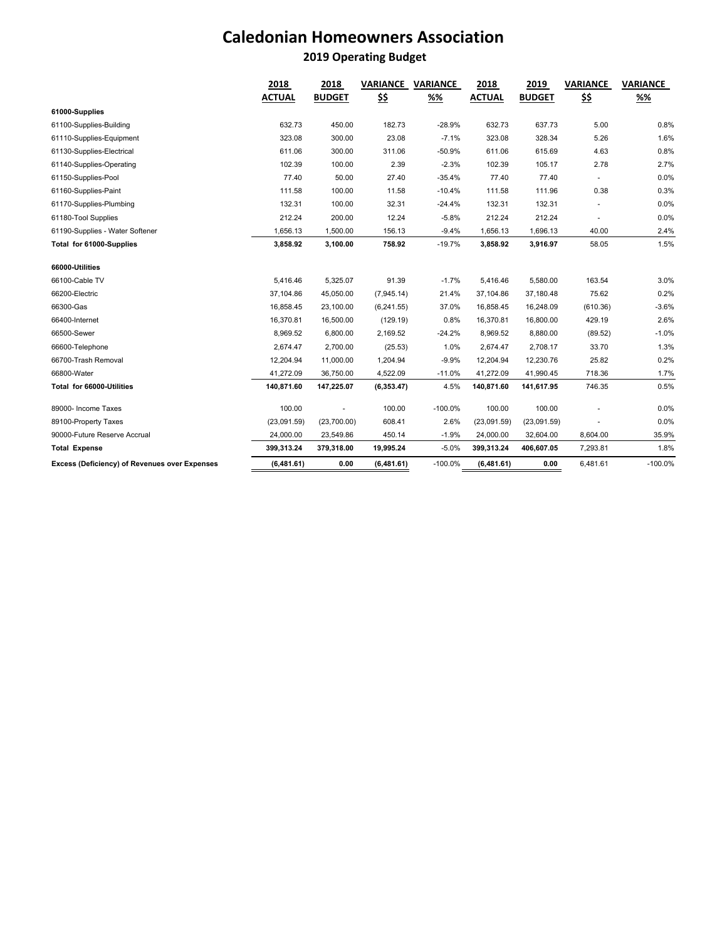## **Caledonian Homeowners Association**

## **2019 Operating Budget**

|                                               | 2018          | 2018          | <b>VARIANCE</b> | <b>VARIANCE</b> | 2018          | 2019          | <b>VARIANCE</b> | <b>VARIANCE</b> |  |
|-----------------------------------------------|---------------|---------------|-----------------|-----------------|---------------|---------------|-----------------|-----------------|--|
|                                               | <b>ACTUAL</b> | <b>BUDGET</b> | <u>\$\$</u>     | %%              | <b>ACTUAL</b> | <b>BUDGET</b> | <u>\$\$</u>     | %%              |  |
| 61000-Supplies                                |               |               |                 |                 |               |               |                 |                 |  |
| 61100-Supplies-Building                       | 632.73        | 450.00        | 182.73          | $-28.9%$        | 632.73        | 637.73        | 5.00            | 0.8%            |  |
| 61110-Supplies-Equipment                      | 323.08        | 300.00        | 23.08           | $-7.1%$         | 323.08        | 328.34        | 5.26            | 1.6%            |  |
| 61130-Supplies-Electrical                     | 611.06        | 300.00        | 311.06          | $-50.9%$        | 611.06        | 615.69        | 4.63            | 0.8%            |  |
| 61140-Supplies-Operating                      | 102.39        | 100.00        | 2.39            | $-2.3%$         | 102.39        | 105.17        | 2.78            | 2.7%            |  |
| 61150-Supplies-Pool                           | 77.40         | 50.00         | 27.40           | $-35.4%$        | 77.40         | 77.40         |                 | 0.0%            |  |
| 61160-Supplies-Paint                          | 111.58        | 100.00        | 11.58           | $-10.4%$        | 111.58        | 111.96        | 0.38            | 0.3%            |  |
| 61170-Supplies-Plumbing                       | 132.31        | 100.00        | 32.31           | $-24.4%$        | 132.31        | 132.31        |                 | 0.0%            |  |
| 61180-Tool Supplies                           | 212.24        | 200.00        | 12.24           | $-5.8%$         | 212.24        | 212.24        |                 | 0.0%            |  |
| 61190-Supplies - Water Softener               | 1,656.13      | 1,500.00      | 156.13          | $-9.4%$         | 1,656.13      | 1,696.13      | 40.00           | 2.4%            |  |
| Total for 61000-Supplies                      | 3,858.92      | 3,100.00      | 758.92          | $-19.7%$        | 3,858.92      | 3,916.97      | 58.05           | 1.5%            |  |
| 66000-Utilities                               |               |               |                 |                 |               |               |                 |                 |  |
| 66100-Cable TV                                | 5,416.46      | 5,325.07      | 91.39           | $-1.7%$         | 5,416.46      | 5,580.00      | 163.54          | 3.0%            |  |
| 66200-Electric                                | 37,104.86     | 45,050.00     | (7,945.14)      | 21.4%           | 37,104.86     | 37,180.48     | 75.62           | 0.2%            |  |
| 66300-Gas                                     | 16,858.45     | 23,100.00     | (6,241.55)      | 37.0%           | 16,858.45     | 16,248.09     | (610.36)        | $-3.6%$         |  |
| 66400-Internet                                | 16,370.81     | 16,500.00     | (129.19)        | 0.8%            | 16,370.81     | 16,800.00     | 429.19          | 2.6%            |  |
| 66500-Sewer                                   | 8,969.52      | 6,800.00      | 2,169.52        | $-24.2%$        | 8,969.52      | 8,880.00      | (89.52)         | $-1.0%$         |  |
| 66600-Telephone                               | 2,674.47      | 2,700.00      | (25.53)         | 1.0%            | 2,674.47      | 2,708.17      | 33.70           | 1.3%            |  |
| 66700-Trash Removal                           | 12,204.94     | 11,000.00     | 1,204.94        | $-9.9%$         | 12,204.94     | 12,230.76     | 25.82           | 0.2%            |  |
| 66800-Water                                   | 41,272.09     | 36,750.00     | 4,522.09        | $-11.0%$        | 41,272.09     | 41,990.45     | 718.36          | 1.7%            |  |
| Total for 66000-Utilities                     | 140,871.60    | 147,225.07    | (6,353.47)      | 4.5%            | 140,871.60    | 141,617.95    | 746.35          | 0.5%            |  |
| 89000- Income Taxes                           | 100.00        |               | 100.00          | $-100.0%$       | 100.00        | 100.00        |                 | 0.0%            |  |
| 89100-Property Taxes                          | (23,091.59)   | (23,700.00)   | 608.41          | 2.6%            | (23,091.59)   | (23,091.59)   |                 | 0.0%            |  |
| 90000-Future Reserve Accrual                  | 24,000.00     | 23,549.86     | 450.14          | $-1.9%$         | 24,000.00     | 32,604.00     | 8,604.00        | 35.9%           |  |
| <b>Total Expense</b>                          | 399,313.24    | 379,318.00    | 19,995.24       | $-5.0%$         | 399,313.24    | 406,607.05    | 7,293.81        | 1.8%            |  |
| Excess (Deficiency) of Revenues over Expenses | (6,481.61)    | 0.00          | (6,481.61)      | $-100.0%$       | (6,481.61)    | 0.00          | 6,481.61        | $-100.0%$       |  |